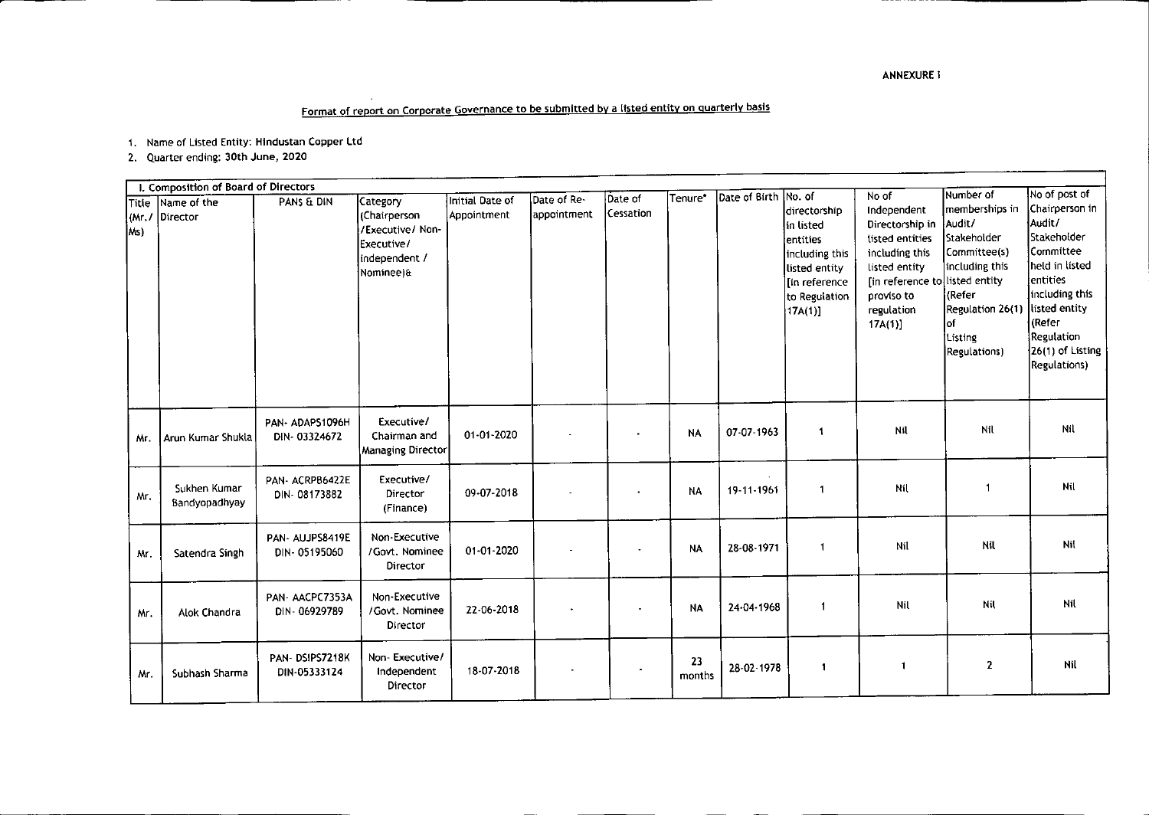## Format of report on Corporate Governance to be submitted by a listed entity on quarterly basis

1. Name of Listed Entity: Hlndustan Copper Ltd

2. Quarter ending: 30th June, 2020

╌

|     | I. Composition of Board of Directors |                                 |                                                                                          |                                |                            |                      |              |                      |                                                                                                                       |                                                                                                                                                                       |                                                                                                                                                                |                                                                                                                                                                                                        |
|-----|--------------------------------------|---------------------------------|------------------------------------------------------------------------------------------|--------------------------------|----------------------------|----------------------|--------------|----------------------|-----------------------------------------------------------------------------------------------------------------------|-----------------------------------------------------------------------------------------------------------------------------------------------------------------------|----------------------------------------------------------------------------------------------------------------------------------------------------------------|--------------------------------------------------------------------------------------------------------------------------------------------------------------------------------------------------------|
| Ms) | Title Name of the<br>(Mr. / Director | PANS & DIN                      | Category<br>(Chairperson<br>/Executive/ Non-<br>Executive/<br>independent /<br>Nominee)& | Initial Date of<br>Appointment | Date of Re-<br>appointment | Date of<br>Cessation | Tenure*      | Date of Birth No. of | ldirectorship<br>lin listed<br>entities<br>including this<br>listed entity<br>In reference<br>to Regulation<br>17A(1) | No of<br>Independent<br>Directorship in<br>listed entities<br>including this<br>listed entity<br>[in reference to listed entity<br>proviso to<br>regulation<br>17A(1) | Number of<br>Imemberships in<br>Audit/<br><b>Stakeholder</b><br>Committee(s)<br>including this<br>(Refer<br>Regulation 26(1)<br>lof<br>Listing<br>Regulations) | No of post of<br>Chairperson in<br>Audit/<br>Stakeholder<br>Committee<br>lheld in listed<br>lentities<br>including this<br>listed entity<br>l (Refer<br>Regulation<br>26(1) of Listing<br>Regulations) |
| Mr. | Arun Kumar Shukla                    | PAN-ADAPS1096H<br>DIN-03324672  | Executive/<br>Chairman and<br>Managing Director                                          | 01-01-2020                     |                            | $\bullet$            | <b>NA</b>    | 07-07-1963           | 1                                                                                                                     | Nil                                                                                                                                                                   | Nil                                                                                                                                                            | Nil                                                                                                                                                                                                    |
| Mr. | Sukhen Kumar<br>Bandyopadhyay        | PAN-ACRPB6422E<br>DIN-08173882  | Executive/<br>Director<br>(Finance)                                                      | 09-07-2018                     |                            |                      | <b>NA</b>    | 19-11-1961           | 1                                                                                                                     | Nil                                                                                                                                                                   | -1                                                                                                                                                             | Nil                                                                                                                                                                                                    |
| Mr. | Satendra Singh                       | PAN- AUJPS8419E<br>DIN-05195060 | Non-Executive<br>/Govt. Nominee<br>Director                                              | $01 - 01 - 2020$               |                            |                      | <b>NA</b>    | 28-08-1971           | 1                                                                                                                     | Nil                                                                                                                                                                   | Nil                                                                                                                                                            | Nil                                                                                                                                                                                                    |
| Mr. | Alok Chandra                         | PAN-AACPC7353A<br>DIN-06929789  | Non-Executive<br>/Govt. Nominee<br>Director                                              | 22-06-2018                     |                            |                      | <b>NA</b>    | 24-04-1968           | $\overline{1}$                                                                                                        | Nil                                                                                                                                                                   | Nil                                                                                                                                                            | Nil                                                                                                                                                                                                    |
| Mr. | Subhash Sharma                       | PAN-DSIPS7218K<br>DIN-05333124  | Non-Executive/<br>Independent<br>Director                                                | 18-07-2018                     |                            |                      | 23<br>months | 28-02-1978           | $\mathbf{1}$                                                                                                          | $\mathbf{1}$                                                                                                                                                          | $\mathbf{2}$                                                                                                                                                   | <b>Nil</b>                                                                                                                                                                                             |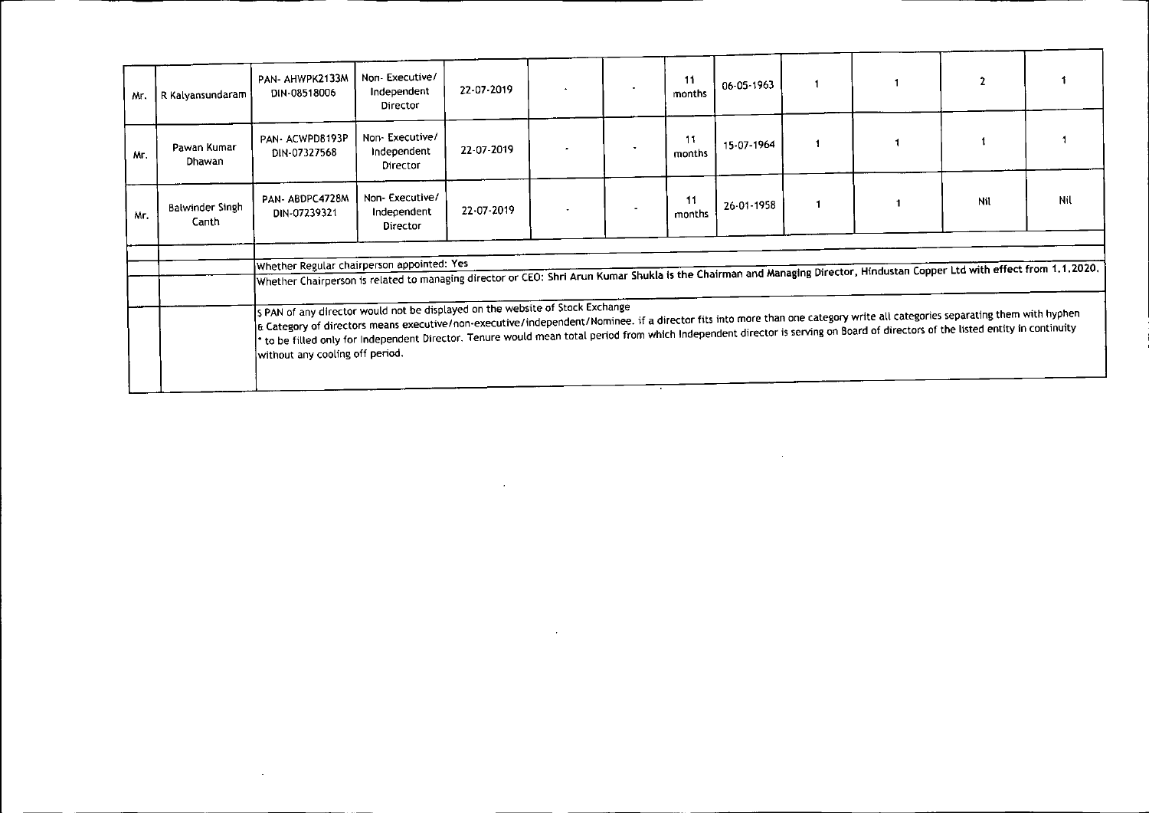| Mr. | R Kalyansundaram                | PAN- AHWPK2133M<br>DIN-08518006                                                                                                                                                                                                                                                                                                                                                                                                                                                                                                                                                                                                                                                                                                                  | Non-Executive/<br>Independent<br>Director | 22-07-2019 |  | 11<br>months | 06-05-1963 |  | $\mathbf{2}$ |     |
|-----|---------------------------------|--------------------------------------------------------------------------------------------------------------------------------------------------------------------------------------------------------------------------------------------------------------------------------------------------------------------------------------------------------------------------------------------------------------------------------------------------------------------------------------------------------------------------------------------------------------------------------------------------------------------------------------------------------------------------------------------------------------------------------------------------|-------------------------------------------|------------|--|--------------|------------|--|--------------|-----|
| Μг. | Pawan Kumar<br>Dhawan           | PAN-ACWPD8193P<br>DIN-07327568                                                                                                                                                                                                                                                                                                                                                                                                                                                                                                                                                                                                                                                                                                                   | Non-Executive/<br>Independent<br>Director | 22-07-2019 |  | months       | 15-07-1964 |  |              |     |
| Mr. | <b>Balwinder Singh</b><br>Canth | PAN-ABDPC4728M<br>DIN-07239321                                                                                                                                                                                                                                                                                                                                                                                                                                                                                                                                                                                                                                                                                                                   | Non-Executive/<br>Independent<br>Director | 22-07-2019 |  | 11<br>months | 26-01-1958 |  | Nil          | Nil |
|     |                                 | Whether Regular chairperson appointed: Yes<br>Whether Chairperson is related to managing director or CEO: Shri Arun Kumar Shukla is the Chairman and Managing Director, Hindustan Copper Ltd with effect from 1,1,2020.<br>s PAN of any director would not be displayed on the website of Stock Exchange<br>E Category of directors means executive/non-executive/independent/Nominee. if a director fits into more than one category write all categories separating them with hyphen<br>to be filled only for Independent Director. Tenure would mean total period from which Independent director is serving on Board of directors of the listed entity in continuity * to be filled only for incontinuity<br>without any cooling off period. |                                           |            |  |              |            |  |              |     |
|     |                                 |                                                                                                                                                                                                                                                                                                                                                                                                                                                                                                                                                                                                                                                                                                                                                  |                                           |            |  |              |            |  |              |     |

 $\mathcal{L}(\mathcal{L})$  and  $\mathcal{L}(\mathcal{L})$  and  $\mathcal{L}(\mathcal{L})$  and  $\mathcal{L}(\mathcal{L})$  and  $\mathcal{L}(\mathcal{L})$ 

 $\mathcal{L}^{\mathcal{L}}(\mathcal{L}^{\mathcal{L}})$  and  $\mathcal{L}^{\mathcal{L}}(\mathcal{L}^{\mathcal{L}})$  . The contribution

 $\mathcal{L}(\mathcal{L}(\mathcal{L}(\mathcal{L}(\mathcal{L}(\mathcal{L}(\mathcal{L}(\mathcal{L}(\mathcal{L}(\mathcal{L}(\mathcal{L}(\mathcal{L}(\mathcal{L}(\mathcal{L}(\mathcal{L}(\mathcal{L}(\mathcal{L}(\mathcal{L}(\mathcal{L}(\mathcal{L}(\mathcal{L}(\mathcal{L}(\mathcal{L}(\mathcal{L}(\mathcal{L}(\mathcal{L}(\mathcal{L}(\mathcal{L}(\mathcal{L}(\mathcal{L}(\mathcal{L}(\mathcal{L}(\mathcal{L}(\mathcal{L}(\mathcal{L}(\mathcal{L}(\mathcal{$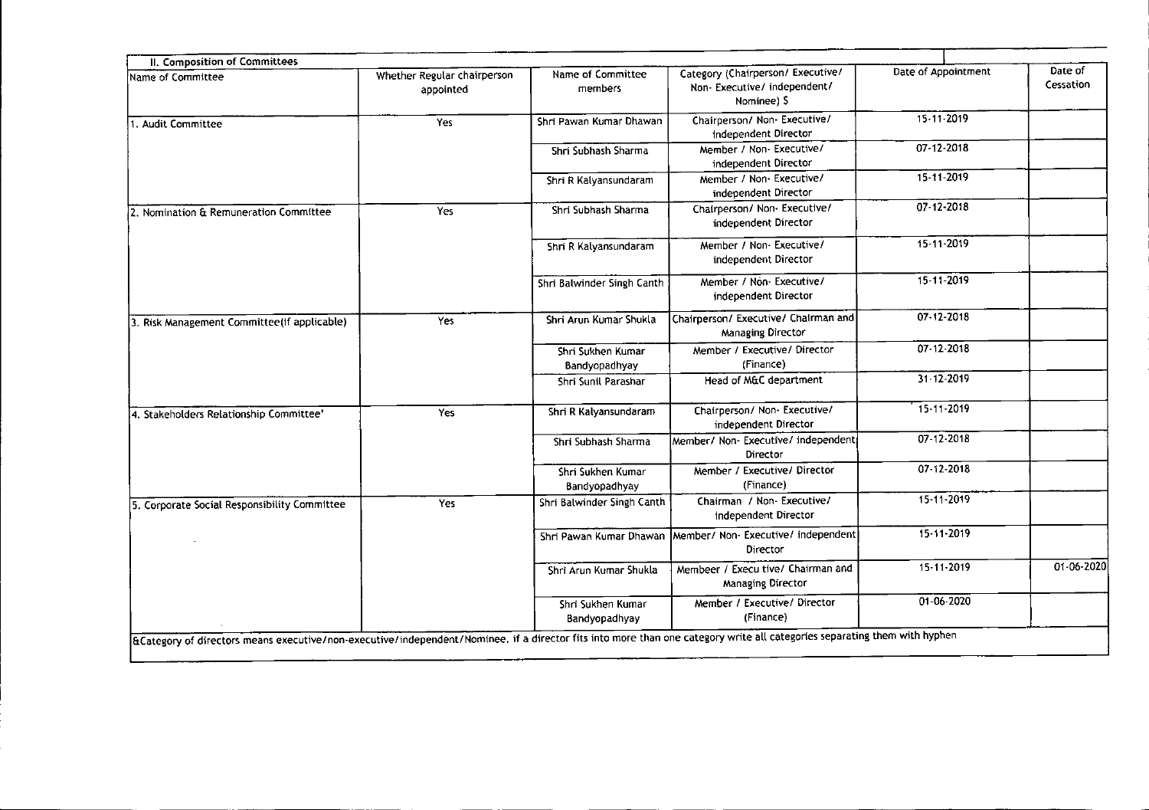| Name of Committee                            | Whether Regular chairperson | Name of Committee                  | Category (Chairperson/ Executive/                                      | Date of Appointment | Date of    |
|----------------------------------------------|-----------------------------|------------------------------------|------------------------------------------------------------------------|---------------------|------------|
|                                              | appointed                   | members                            | Non-Executive/independent/<br>Nominee) S                               |                     | Cessation  |
| 1. Audit Committee                           | Yes                         | Shri Pawan Kumar Dhawan            | Chairperson/ Non- Executive/<br>Independent Director                   | 15-11-2019          |            |
|                                              |                             | Shri Subhash Sharma                | Member / Non- Executive/<br>independent Director                       | 07-12-2018          |            |
|                                              |                             | Shri R Kalyansundaram              | Member / Non-Executive/<br>independent Director                        | 15-11-2019          |            |
| 2. Nomination & Remuneration Committee       | Yes                         | Shri Subhash Sharma                | Chairperson/ Non- Executive/<br>independent Director                   | 07 12 2018          |            |
|                                              |                             | Shri R Kalyansundaram              | Member / Non-Executive/<br>independent Director                        | 15-11-2019          |            |
|                                              |                             | Shri Balwinder Singh Canth         | Member / Non- Executive/<br>independent Director                       | 15 11 2019          |            |
| 3. Risk Management Committee (if applicable) | Yes                         | Shri Arun Kumar Shukla             | Chairperson/ Executive/ Chairman and<br>Managing Director              | 07-12-2018          |            |
|                                              |                             | Shri Sukhen Kumar<br>Bandyopadhyay | Member / Executive/ Director<br>(Finance)                              | $07 - 12 - 2018$    |            |
|                                              |                             | Shri Sunil Parashar                | Head of M&C department                                                 | 31 12 2019          |            |
| 4. Stakeholders Relationship Committee'      | Yes                         | Shri R Kalyansundaram              | Chairperson/ Non- Executive/<br>independent Director                   | 15-11-2019          |            |
|                                              |                             | Shri Subhash Sharma                | Member/ Non- Executive/ independent<br><b>Director</b>                 | 07-12-2018          |            |
|                                              |                             | Shri Sukhen Kumar<br>Bandyopadhyay | Member / Executive/ Director<br>(Finance)                              | 07-12-2018          |            |
| 5. Corporate Social Responsibility Committee | Yes                         | Shri Balwinder Singh Canth         | Chairman / Non- Executive/<br>independent Director                     | 15-11-2019          |            |
|                                              |                             |                                    | Shri Pawan Kumar Dhawan Member/ Non-Executive/ independent<br>Director | 15-11-2019          |            |
|                                              |                             | Shri Arun Kumar Shukla             | Membeer / Execu tive/ Chairman and<br>Managing Director                | 15-11-2019          | 01-06-2020 |
|                                              |                             | Shri Sukhen Kumar<br>Bandyopadhyay | Member / Executive/ Director<br>(Finance)                              | 01-06-2020          |            |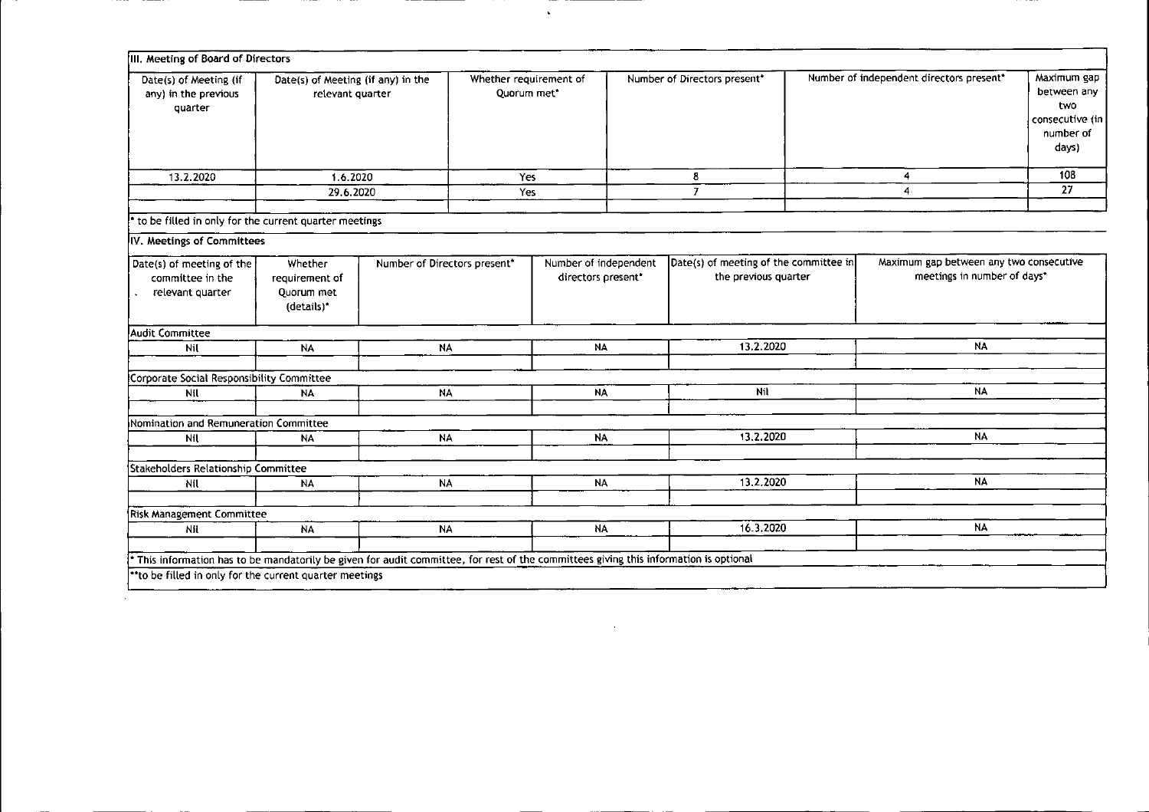| III. Meeting of Board of Directors                                                                                                                                                              |                                                        |                              |                                       |                                             |                                                                |                                                                        |                                                                            |
|-------------------------------------------------------------------------------------------------------------------------------------------------------------------------------------------------|--------------------------------------------------------|------------------------------|---------------------------------------|---------------------------------------------|----------------------------------------------------------------|------------------------------------------------------------------------|----------------------------------------------------------------------------|
| Date(s) of Meeting (if<br>any) in the previous<br>quarter                                                                                                                                       | Date(s) of Meeting (if any) in the<br>relevant quarter |                              | Whether requirement of<br>Quorum met* |                                             | Number of Directors present*                                   | Number of independent directors present"                               | Maximum gap<br>between any<br>two<br>consecutive (in<br>number of<br>days) |
| 13.2.2020                                                                                                                                                                                       | 1.6.2020                                               |                              | Yes                                   |                                             | 8                                                              | $\overline{\mathbf{4}}$                                                | $\overline{108}$                                                           |
|                                                                                                                                                                                                 | 29.6.2020                                              |                              | Yes                                   |                                             | $\overline{7}$                                                 | 4                                                                      | 27                                                                         |
| to be filled in only for the current quarter meetings                                                                                                                                           |                                                        |                              |                                       |                                             |                                                                |                                                                        |                                                                            |
| IV. Meetings of Committees                                                                                                                                                                      |                                                        |                              |                                       |                                             |                                                                |                                                                        |                                                                            |
| Date(s) of meeting of the<br>committee in the<br>relevant quarter                                                                                                                               | Whether<br>requirement of<br>Quorum met<br>(details)*  | Number of Directors present" |                                       | Number of independent<br>directors present* | Date(s) of meeting of the committee in<br>the previous quarter | Maximum gap between any two consecutive<br>meetings in number of days* |                                                                            |
| Audit Committee                                                                                                                                                                                 |                                                        |                              |                                       |                                             |                                                                |                                                                        |                                                                            |
| Nil                                                                                                                                                                                             | <b>NA</b>                                              | <b>NA</b>                    |                                       | NA                                          | 13.2.2020                                                      | <b>NA</b>                                                              |                                                                            |
| Corporate Social Responsibility Committee                                                                                                                                                       |                                                        |                              |                                       |                                             |                                                                |                                                                        |                                                                            |
| Nil                                                                                                                                                                                             | NA                                                     | <b>NA</b>                    |                                       | <b>NA</b>                                   | Nil                                                            | <b>NA</b>                                                              |                                                                            |
|                                                                                                                                                                                                 |                                                        |                              |                                       |                                             |                                                                |                                                                        |                                                                            |
| Nomination and Remuneration Committee                                                                                                                                                           |                                                        |                              |                                       |                                             |                                                                |                                                                        |                                                                            |
| Nil                                                                                                                                                                                             | <b>NA</b>                                              | NΑ                           |                                       | <b>NA</b>                                   | 13.2.2020                                                      | NA                                                                     |                                                                            |
| Stakeholders Relationship Committee                                                                                                                                                             |                                                        |                              |                                       |                                             |                                                                |                                                                        |                                                                            |
| Nil                                                                                                                                                                                             | <b>NA</b>                                              | <b>NA</b>                    |                                       | <b>NA</b>                                   | 13.2.2020                                                      | <b>NA</b>                                                              |                                                                            |
| <b>Risk Management Committee</b>                                                                                                                                                                |                                                        |                              |                                       |                                             |                                                                |                                                                        |                                                                            |
| Nil                                                                                                                                                                                             | <b>NA</b>                                              | <b>NA</b>                    |                                       | <b>NA</b>                                   | 16.3.2020                                                      | <b>NA</b>                                                              |                                                                            |
| This information has to be mandatorily be given for audit committee, for rest of the committees giving this information is optional<br>** to be filled in only for the current quarter meetings |                                                        |                              |                                       |                                             |                                                                |                                                                        |                                                                            |

 $\label{eq:2.1} \mathcal{L}(\mathcal{L}^{\mathcal{L}}_{\mathcal{L}}(\mathcal{L}^{\mathcal{L}}_{\mathcal{L}}))\leq \mathcal{L}(\mathcal{L}^{\mathcal{L}}_{\mathcal{L}}(\mathcal{L}^{\mathcal{L}}_{\mathcal{L}}))\leq \mathcal{L}(\mathcal{L}^{\mathcal{L}}_{\mathcal{L}}(\mathcal{L}^{\mathcal{L}}_{\mathcal{L}}))$ 

 $\mathcal{L}^{\text{max}}_{\text{max}}$  .